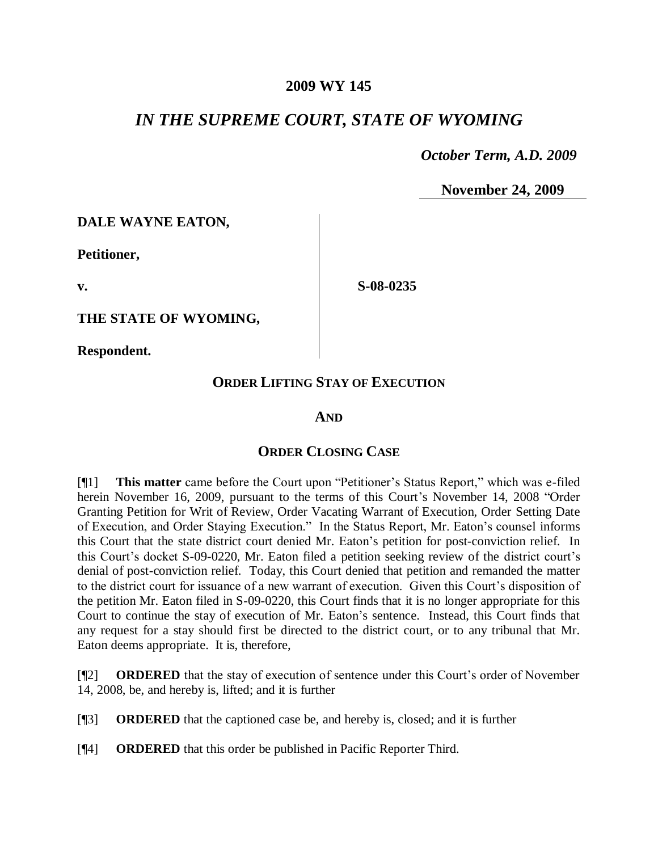### **2009 WY 145**

## *IN THE SUPREME COURT, STATE OF WYOMING*

 *October Term, A.D. 2009*

**November 24, 2009**

**DALE WAYNE EATON,**

**Petitioner,**

**v.**

**THE STATE OF WYOMING,**

**Respondent.**

## **ORDER LIFTING STAY OF EXECUTION**

**S-08-0235**

#### **AND**

## **ORDER CLOSING CASE**

[¶1] **This matter** came before the Court upon "Petitioner's Status Report," which was e-filed herein November 16, 2009, pursuant to the terms of this Court's November 14, 2008 "Order Granting Petition for Writ of Review, Order Vacating Warrant of Execution, Order Setting Date of Execution, and Order Staying Execution." In the Status Report, Mr. Eaton's counsel informs this Court that the state district court denied Mr. Eaton's petition for post-conviction relief. In this Court's docket S-09-0220, Mr. Eaton filed a petition seeking review of the district court's denial of post-conviction relief. Today, this Court denied that petition and remanded the matter to the district court for issuance of a new warrant of execution. Given this Court's disposition of the petition Mr. Eaton filed in S-09-0220, this Court finds that it is no longer appropriate for this Court to continue the stay of execution of Mr. Eaton's sentence. Instead, this Court finds that any request for a stay should first be directed to the district court, or to any tribunal that Mr. Eaton deems appropriate. It is, therefore,

[¶2] **ORDERED** that the stay of execution of sentence under this Court's order of November 14, 2008, be, and hereby is, lifted; and it is further

[¶3] **ORDERED** that the captioned case be, and hereby is, closed; and it is further

[¶4] **ORDERED** that this order be published in Pacific Reporter Third.